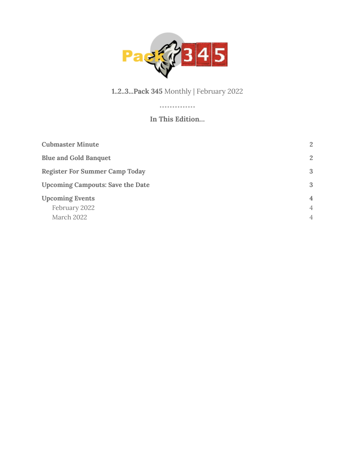

#### **1..2..3...Pack 345** Monthly | February 2022

#### **In This Edition…**

.............

| <b>Cubmaster Minute</b>                               | 2                                                  |
|-------------------------------------------------------|----------------------------------------------------|
| <b>Blue and Gold Banquet</b>                          | 2                                                  |
| <b>Register For Summer Camp Today</b>                 | 3                                                  |
| <b>Upcoming Campouts: Save the Date</b>               | 3                                                  |
| <b>Upcoming Events</b><br>February 2022<br>March 2022 | $\overline{4}$<br>$\overline{4}$<br>$\overline{4}$ |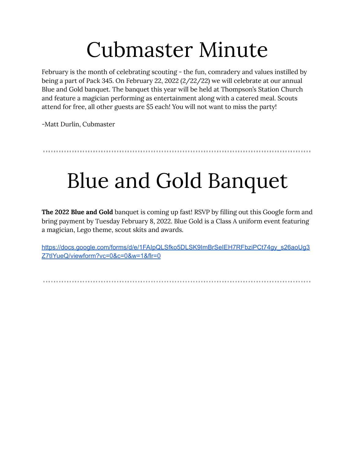### Cubmaster Minute

<span id="page-1-0"></span>February is the month of celebrating scouting - the fun, comradery and values instilled by being a part of Pack 345. On February 22, 2022 (2/22/22) we will celebrate at our annual Blue and Gold banquet. The banquet this year will be held at Thompson's Station Church and feature a magician performing as entertainment along with a catered meal. Scouts attend for free, all other guests are \$5 each! You will not want to miss the party!

-Matt Durlin, Cubmaster

<span id="page-1-1"></span>

## Blue and Gold Banquet

**The 2022 Blue and Gold** banquet is coming up fast! RSVP by filling out this Google form and bring payment by Tuesday February 8, 2022. Blue Gold is a Class A uniform event featuring a magician, Lego theme, scout skits and awards.

[https://docs.google.com/forms/d/e/1FAIpQLSfko5DLSK9ImBrSeIEH7RFbziPCt74gy\\_s26aoUg3](https://docs.google.com/forms/d/e/1FAIpQLSfko5DLSK9ImBrSeIEH7RFbziPCt74gy_s26aoUg3Z7tIYueQ/viewform?vc=0&c=0&w=1&flr=0) [Z7tIYueQ/viewform?vc=0&c=0&w=1&flr=0](https://docs.google.com/forms/d/e/1FAIpQLSfko5DLSK9ImBrSeIEH7RFbziPCt74gy_s26aoUg3Z7tIYueQ/viewform?vc=0&c=0&w=1&flr=0)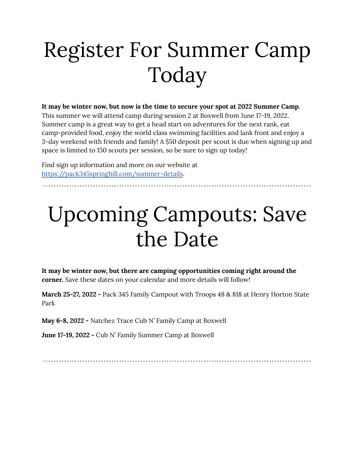# <span id="page-2-0"></span>Register For Summer Camp Today

#### **It may be winter now, but now is the time to secure your spot at 2022 Summer Camp.**

This summer we will attend camp during session 2 at Boxwell from June 17-19, 2022. Summer camp is a great way to get a head start on adventures for the next rank, eat camp-provided food, enjoy the world class swimming facilities and lank front and enjoy a 3-day weekend with friends and family! A \$50 deposit per scout is due when signing up and space is limited to 150 scouts per session, so be sure to sign up today!

Find sign up information and more on our website at [https://pack345springhill.com/summer-details.](https://pack345springhill.com/summer-details)

## <span id="page-2-1"></span>Upcoming Campouts: Save the Date

**It may be winter now, but there are camping opportunities coming right around the corner.** Save these dates on your calendar and more details will follow!

**March 25-27, 2022 -** Pack 345 Family Campout with Troops 48 & 818 at Henry Horton State Park

**May 6-8, 2022 -** Natchez Trace Cub N' Family Camp at Boxwell

**June 17-19, 2022 -** Cub N' Family Summer Camp at Boxwell